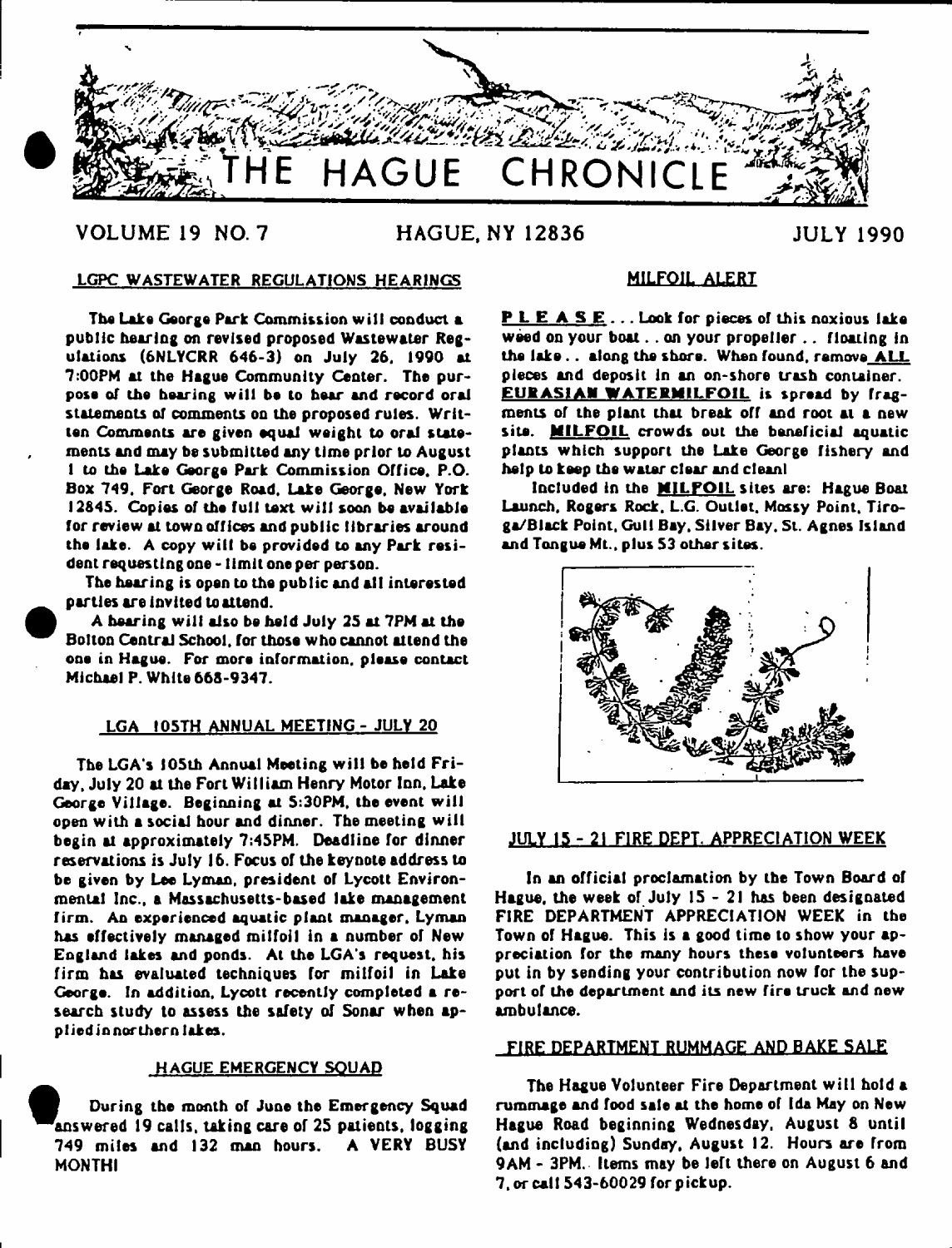

# **VOLUME 19 NO. 7 HAGUE, NY 12836 JULY 1990**

# LGPC WASTEWATER REGULATIONS HEARINGS

The Lake George Park Commission will conduct a public hearing on revised proposed Wastewater Regulations (6NLYCRR 646-3) on July 26. 1990 at 7:00PM at the Hague Community Center. The purpose of the hearing will be to hear and record oral statements of comments on the proposed rules. Written Comments are given equal weight to oral statements and may be submitted any time prior to August 1 to the Lake George Park Commission Office. P.O. Box 749. Fort George Road. Lake George, New York 12645. Copies of the full text will soon be available for review at town offices and public libraries around the lake. A copy will be provided to any Park resident requesting one -1 imlt one per person.

The hearing is open to the public and alt interested parties are invited to attend.

A hearing will also be held July 25 at 7PM at the Bolton Central School, for those who cannot attend the one in Hague. For more information, please contact Michael P. White 66S-9347.

#### LGA IOSTH ANNUAL MEETING - JULY 20

The LGA's 105th Annual Meeting will be held Friday, July 20 at the Fort William Henry Motor Inn. Lake George Village. Beginning at 5:30PM, the event will open with a social hour and dinner. The meeting will begin at approximately 7:45PM. Deadline for dinner reservations is July 16. Focus of the keynote address to be given by Lee Lyman, president of Lycott Environmental Inc., a Massachusetts-based lake management firm. An experienced aquatic plant manager, Lyman has effectively managed milfoil in a number of New England lakes and ponds. At the LGA's request, his firm has evaluated techniques for milfoil in Lake George. In addition, Lycott recently completed a research study to assess the safety of Sonar when applied in northern lakes.

#### HAGUE EMERGENCY SQUAD

During the month of June the Emergency Squad 'answered 19 calls, taking care of 25 patients, logging 749 miles and 132 man hours. A VERY BUSY MONTHI

### MILFOIL ALERT

P L E A S E ... Look for pieces of this noxious lake weed on your boat. . on your propeller . . floating in the lake.. along the shore. When found, remove ALL pieces and deposit In an on-shore trash container. EURASIAN WATERMILFOIL is spread by fragments of the plant that break off and root at a new site. MILFOIL crowds out the beneficial aquatic plants which support the Lake George fishery and help to keep the water clear and clean!

Included in the **MILFOIL** sites are: Hague Boat Launch, Rogers Rock. L.G. Outlet, Massy Point, Tiroga/Black Point, Gull Bay, Silver Bay. St. Agnes Island and Tongue Mt., plus 53 other sites.



#### JULY 15 - 21 FIRE DEPT. APPRECIATION WEEK

In an official proclamation by the Town Board of Hague, the week of July 15-21 has been designated FIRE DEPARTMENT APPRECIATION WEEK in the Town of Hague. This is a good time to show your appreciation for the many hours these volunteers have put in by sending your contribution now for the support of the department and its new fire truck and new ambulance.

#### FIRE DEPARTMENT RUMMAGE AND BAKE SALE

The Hague Volunteer Fire Department will hold a rummage and food sale at the home of Ida May on New Hague Road beginning Wednesday, August 8 until (and including) Sunday, August 12. Hours are from 9AM - 3PM. Items may be left there on August 6 and 7, or call 543-60029 for pickup.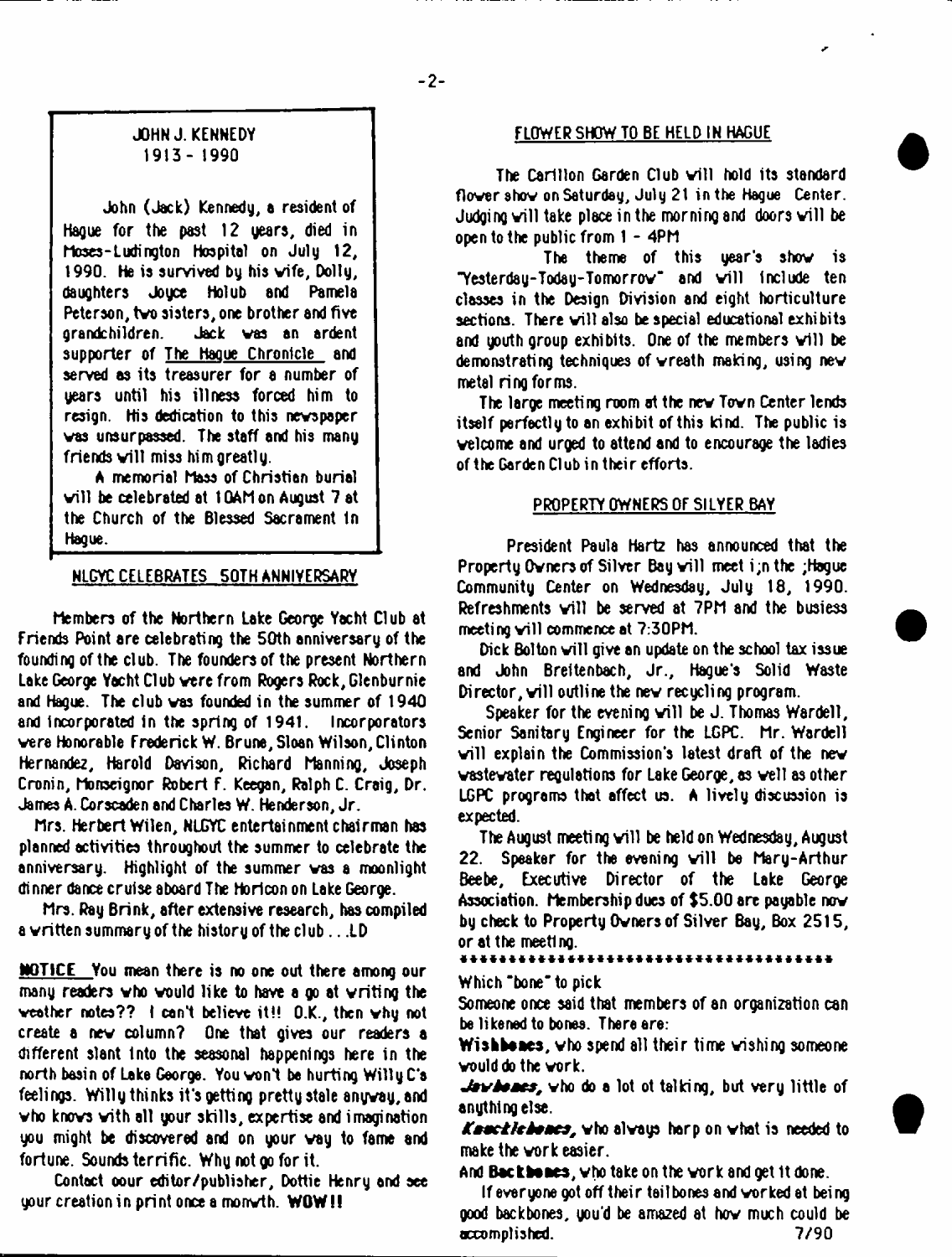# JOHN J. KENNEDY 1913- 1990

John (Jack) Kennedy, a resident of Hague for the past 12 years, died in Moses-Ludington hospital on July 12, 1990. He is survived by his vife, Dolly, daughters Joyce Holub and Pamela Peterson, tvo sisters, one brother and five grandchildren. Jack vas an ardent supporter of The Hague Chronicle and served as its treasurer for a number of years until his illness forced him to resign. His dedication to this nevspaper vas unsurpassed. The staff and his many friends will miss him greatly.

A memorial Mass of Christian burial vill be celebrated at 1 GAM on August 7 at the Church of the Blessed Sacrament In Hague.

# NLCYC CELEBRATES 50TH ANNIVERSARY

hembers of the Northern Lake George Yacht Club at Friends Point are celebrating the 50th anniversary of the founding of the club. The founders of the present Northern Lake George Yacht Club vere from Rogers Rock, Glenburnie and Hague. The club vas founded in the summer of 1940 and Incorporated in the spring of 1941. Incorporators vere Honorable Frederick W. Brune, Sloan Wilson, Clinton Hernandez, Harold Davison, Richard Manning, Joseph Cronin, honseignor Robert F. Keegan, Ralph C. Craig, Dr. James A. Corscaden and Charles W. Henderson, Jr.

Mrs. Herbert Wilen, NLGYC entertainment chairman has planned activities throughout the summer to celebrate the anniversary. Highlight of the summer vas a moonlight dinner dance cruise aboard The Horiconon Lake George.

Mrs. Ray Brink, after extensive research, has compiled a vritten summary of the history of the club .. .LD

NOTICE You mean there is no one out there among our many readers vho vould like to have a go at vriting the veather notes?? I canl believe it!! O.K., then vhy not create a nev column? One that gives our readers a different slant Into the seasonal happenings here in the north basin of Lake George. You vont be hurting Willy C\*e feelings. Willy thinks it's getting pretty stale anyvay,and vho knovs vith all your skills, expertise and imagination you might be discovered and on your vay to fame and fortune. Sounds terrific. Why not go for it.

Contact oour editor/publisher, Dottie Henry and see your creation in print once a monvth. WOW!!

# FLOWER SHOW TO BE HELD IN HAGUE

The Carillon Garden Club will hold its standard flower show on Saturday, July 21 in the Hague Center. Judging will take place in the morning and doors will be open to the public from I - 4PM

The theme of this year's shov is "Yesterday-Today-Tomorrow" and will include ten classes in the Design Division and eight horticulture sections. There will also be special educational exhibits and youth group exhibits. One of the members will be demonstrating techniques of vreath making, using nev metal ring forms.

The large meeting room at the new Town Center lends itself perfectly to an exhibit of this kind. The public is velcome and urged to attend and to encourage the ladies of the Garden Club in their efforts.

## PROPERTY OWNERS OF SILYER BAY

President Paula Hartz has announced that the Property Owners of Silver Bay will meet i;n the ;Hague Community Center on Wednesday, July 18, 1990. Refreshments will be served at 7PM and the busiess meeting will commence at 7:30PM.

Dick Bolton will give an update on the school tax issue and John Breltenbach, Jr., Hague's Solid Waste Director, will outline the new recycling program.

Speaker for the evening will be J. Thomas Wardell, Senior Sanitary Engineer for the LGPC. Mr. Wardell will explain the Commission's latest draft of the new vastevater regulations for Lake George, as veil as other LGPC programs that affect us. A lively discussion is expected.

The August meeting will be held on Wednesday, August 22. Speaker for the evening will be Mary-Arthur Beebe, Executive Director of the Lake George Association. Membership dues of \$5.00 are payable nov by check to Property Ovners of Silver Bay, Box 2515, or at the meeting.

#### \*\*\*\*\*\*\*\*\*\*\*\*\*\*\*\*\*\*\*\*\*

#### Which "bone" to pick

Someone once said that members of an organization can be likened to bones. There ere:

Wlsbbaaes, vho spend all their time vishing someone vould do the vork.

 $J$ exidences, who do a lot ot talking, but very little of anything else.

Kenchile hance, who always harp on what is needed to make the vork easier.

And Bactbaaea, vho take on the vork and get 1t done.

If everyone got off their tail bones and vorked at being good backbones, you'd be amazed at hov much could be accomplished. 7/90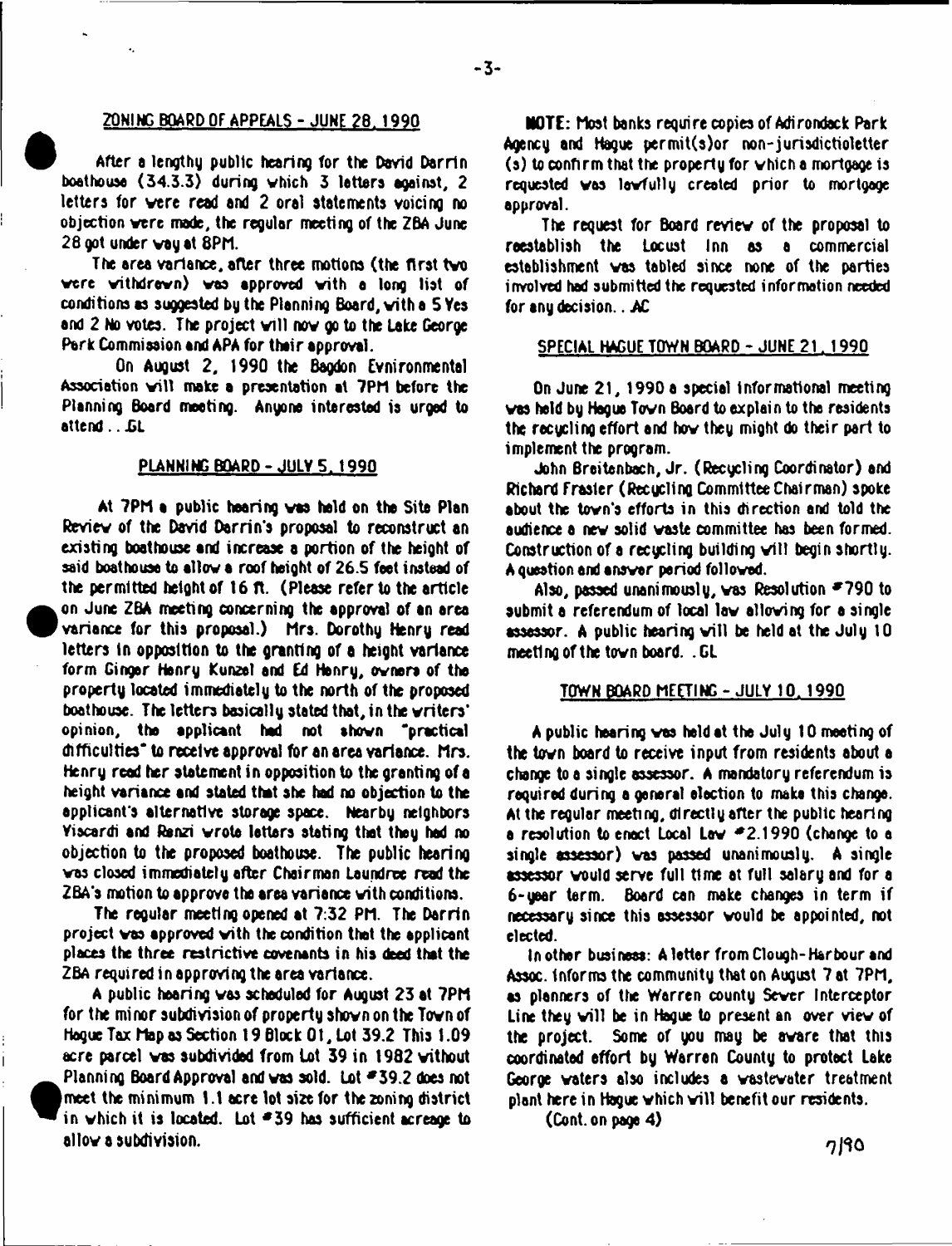# ZONING BOARD OF APPEALS-JUNE ?8. 1990

After a lengthy public hearing for the David Darrin boathouse (34.3.3) during vhich 3 letters against, 2 letters for vere read and 2 oral statements voicing no objection vere mode, the regular meeting of the ZBA June 28 got under way at 8PM.

The area variance, after three motions (the first tvo vere vithdrovn) vas approved vith a long list of conditions as suggested by the Planning Board, vith a 5 Yes and 2 No votes. The project will now go to the Lake George Park Commission and APA for their approval.

On August 2, 1990 the Bagdon Evnironmental Association will make a presentation at 7PM before the Planning Board meeting. Anyone interested is urged to attend...*GL* 

#### **PLANNING BOARD-JULY 5 . 1990**

At 7PM **a** public hearing vas held on the Site Plan Review of the David Darrin's proposal to reconstruct an existing boathouse and increase a portion of the height of said boathouse to allov **a** roof height of 26.5 feet instead of the permitted height of 16 ft. (Please refer to the article on June Z6A meeting concerning the approval of an area variance for this proposal.) Mrs. Dorothy Henry read letters in opposition to the granting of a height variance form Ginger Henry Kunzel and Ed Henry, ovners of the property located immediately to the north of the proposed boathouse. The letters basically stated that, in the vriters' opi nion, the applicant had not shown "practical difficulties" to receive approval for an area variance. Mrs. Henry read her statement in opposition to the granting of a height variance and stated that she had no objection to the applicant's alternative storage space. Nearby neighbors Yiscardi and Ranzi wrote letters stating that they had no objection to the proposed boathouse. The public hearing vas closed immediately after Chairman Loundree read the 2BA's motion to approve the area variance vith conditions.

**•**

**•**

The regular meeting opened at 7:32 PM. The Darrin project vas approved vith the condition that the applicant places the three restrictive covenants in his deed that the ZBA required in approving the area variance.

A public hearing vas scheduled for August 23 at 7PM for the mi nor subdivision of property shovn on the Tovn of Hague Tax Map os Section 19 Block 0**1**, Lot 39.2 This t .09 acre parcel vas subdivided from lot 39 in 1982 vithout Planning Board Approval and vas sold. Lot \*39.2 does not meet the minimum 1.1 acre lot size for the zoning district in which it is located. Lot  $=$  39 has sufficient acreage to allov s subdivision.

NOTE: Most banks require copies of Adirondack Park Agency and Hague permit(s)or non-jurisdictioletter  $(s)$  to confirm that the property for which a mortgage is requested was lawfully created prior to mortgage approval.

The request for Board reviev of the proposal to reestablish the Locust Inn as a commercial establishment vas tabled since none of the parties involved had submitted the requested information needed for any decision.. AC

#### SPECIAL HAGUE TOWN BOARD - JUNE 21. 1990

On June 21, 1990 a special informational meeting vas held by Hague Tovn Board to explain to the residents the recycling effort and hov they might do their pari to implement the program.

John Breitenbach, Jr. (Recycling Coordinator) and Richard Frasier (Recycling Committee Chairman) spoke about the tovn's efforts in this direction and told the audience a nev solid vaste committee has been formed. Construction of a recucling building will begin shortly. A question and ansvar period followed.

Also, passed unanimously, was Resolution  $\leq 790$  to submit a referendum of local lav alloving for a single  $\approx$ ssessor. A public hearing will be held at the July 10 meeting of the tovn board. . GL

#### TOWN BOARD MEETING-JULY 10. 1990

A public hearing vas held at the July 10 meeting of the tovn board to receive input from residents about a change to a single assessor. A mandatory referendum is required during **a** general election to make this change. At the regular meeti ng, dl recti y after the public heari ng **a** resolution to enact Local Lav \*2.1990 (change to a single assessor) vas passed unanimously. A single assessor vould serve full time at full salary and for a 6-year term. Board can make changes in term if necessary since this assessor vould be appointed, not elected.

In other business: A letter from Clough-Harbour and Assoc, informs the community that on August 7 at 7PM, as planners of the Warren county Sever Interceptor Line they will be in Hague to present an over view of the project. Some of you may be avare that this coordinated effort by Warren County to protect Lake George voters also includes a wastewater treatment plant here in Hague which will benefit our residents.

(Cont. on page 4)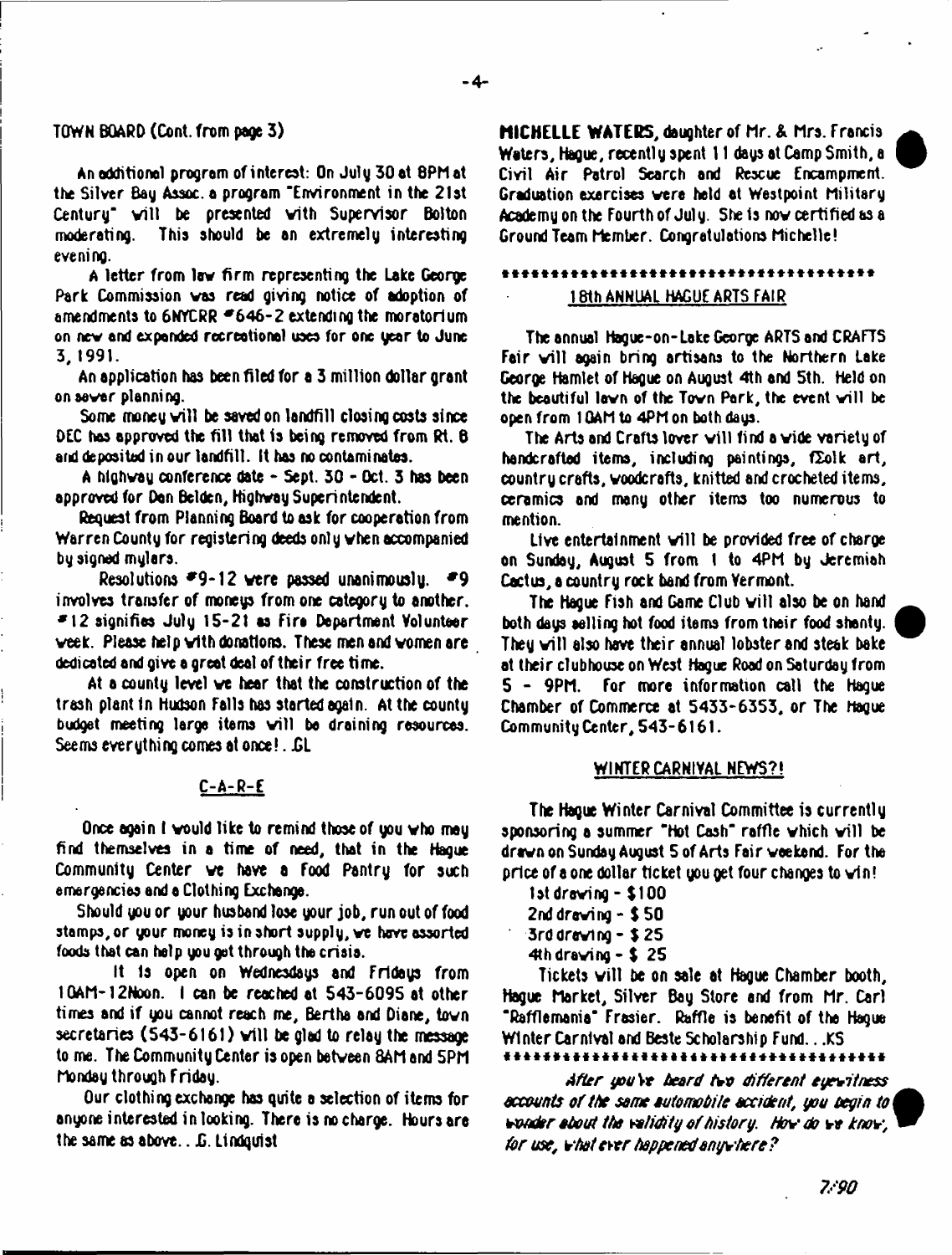# TQWN BOARD (Cont. from page 3)

An additional program of interest: On July 30 at 8PM at tie Silver Bay Assoc, a program 'Environment in the 21st Century' will be presented with Supervisor Bolton moderating. This should he an extremely interesting eveni ng.

A letter from lev firm representing the Lake George Park Commission vas read giving notice of adoption of amendments to  $6NCRR = 646 - 2$  extending the moratorium on nev and expanded recreotionel uses for one year to June 3, 1991.

An application has been filed for a 3 million dollar grant onsovar planning.

Some money will be saved on landfill closing costs since DEC has approved the fill that is being removed from Rt. 6 and deposited in our landfill. It has no contaminates.

A hlghvay conference date - Sept. 30 - Oct. 3 has been approved for Dan Bclden, Highvay Superintendent.

Request from Planning Board to ask for cooperation from Warren County for registering deeds only vhen accompanied by signed mylars.

Resolutions  $*9-12$  were passed unanimously.  $*9$ involves transfer of moneys from one category to another. \*12 signifies July 15\*21 as Eira Department Volunteer veek. Please help vith donations. These men and vomen are dedicated and give a great deal of their free time.

At a county level ve hear that the construction of the trash plant in Hudson falls has started again. At the county budget meeting large items will be draining resources. Seems everything comes at once!. GL

# C-A-R-E

Once again I would like to remind those of you who may find themselves in a time of need, that in the Hague Community Center ve have a food Pantry for such emergencies and a Clothing Exchange.

Should you or your husband lose your job, run out of food stamps, or your money is in short supply, we have assorted foods that can help you get through the crisis.

It is open on Wednesdays and Fridays from I GAM-12Noon. I can be reached at 543-6095 at other times and if you cannot reach me, Bertha and Diane, tovn secretaries  $(543-6161)$  will be glad to relay the message to me. The Community Center is open betveen 8AM and 5PM Monday through friday.

Our clothing exchange has quite a selection of items for anyone interested in looking. There is no charge. Hoursare the same as above.. *£* Lindquist

**MICHELLE WATERS,** daughter of Mr. & Mrs. f rancis ^ Waters, Hague, recently spent 11 days at Camp Smith, a Civil Air Patrol Search and Rescue Encampment. Graduation exercises vere held at Westpoint Military Academy on the fourth of July. She is nov certified as a Ground Team Member. Congratulations Michelle!

# .................................... 18th ANNUAL HAGUE ARTS FAIR

The annual Hague-on-Lake George ARTS and CRAFTS Fair will again bring artisans to the Northern Lake George Hamlet of Hague on August 4th and 5th. Held on the beautiful lawn of the Town Park, the event will be open from 1 GAM to 4PM on both days.

The Arts and Crafts lover will find a vide variety of handcrafted items, including paintings,  $f\sum o\}k$  art, country crafts, voodcrafts, knitted and crocheted items, ceramics and many other items too numerous to mention.

Live entertainment will be provided free of charge on Sunday, August 5 from 1 to 4PM by Jeremiah Cactus, a country rock band from Vermont.

The Hague Fish and Game Club will also be on hand both days selling hot food items from their food shanty. They will also have their annual lobster and steak bake at their clubhouse on West Hague Road on Saturday from<br>5 - 9PM, For, more, information, call, the Hague for more information call the Hague Chamber of Commerce at 5433-6353, or The Hague Community Center, 543-6161.

# WINTER CARNIVAL NEWS?!

The Hague Winter Carnival Committee is currently sponsoring a summer "Hot Cash" raffle which will be dravn on Sunday August 5 of Arts fair weekend, for the price of a one dollar ticket you get four changes to vin!

1st droving - \$100 2nd drawing  $-$  \$ 50 3rddreving - \$ 25 4th drawing  $-5$  25

Tickets will be on sale at Hague Chamber booth, Hague Market, Silver Bag Store and from Mr. Carl 'Rafflemania\* Frasier. Raffle is benefit of the Hague Winter Carnival and Beste Scholarship Fund...KS

*After you* Vr *beard tvo different eyewitness* accounts of the same automobile accident, you begin to *vender about the validity o f history. Hov do* Hf *knov, for use, vhotevtr happened onyvhere?*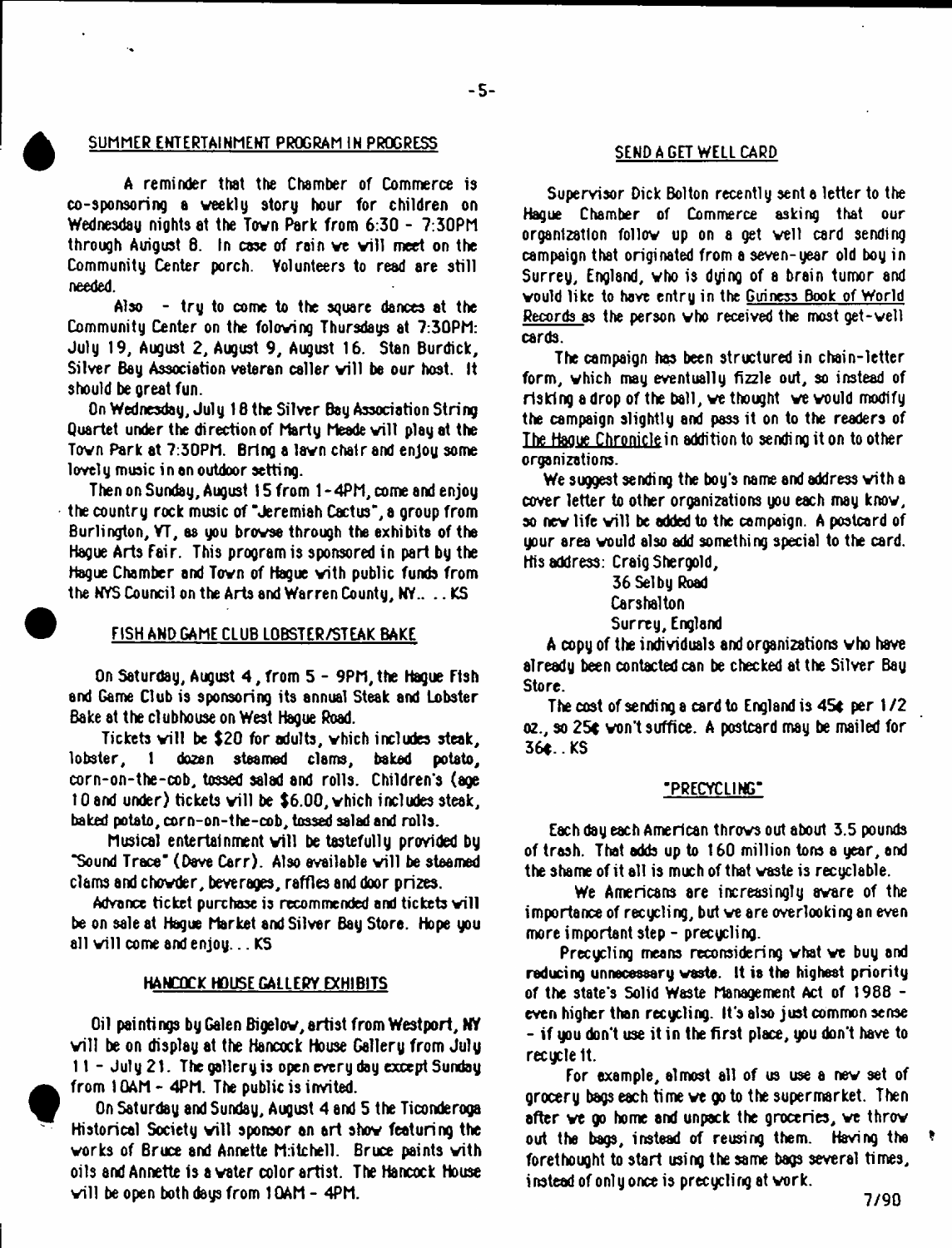# SUMMER ENTERTAINMENT PROGRAM IN PROGRESS SEND A GET WELL CARD

A reminder that the Chamber of Commerce is co-sponsoring a weekly story hour for children on Wednesday nights at the Tovn Park from 6:30 - 7:30PM through Auigust  $\theta$ . In case of rain we will meet on the Community Center porch. Volunteers to read are still needed.

Also - try to come to the square dances at the Community Center on the foloving Thursdays at 7:30PM: July 19, August 2, August 9, August 16. Stan Burdick, Silver Bay Association veteran caller will be our host. It should be great fun.

On Wednesday, July 16 the Silver Bay Association String Quartet under the direction of Marty Meade will play at the Tovn Park at 7:30PM. Bring a lavn chair and enjoy some lovely music in an outdoor setting.

Then on Sunday, August 15 from 1 -4PM, come and enjoy the country rock music of "Jeremiah Cactus", a group from Burlington, VT, as you brovse through the exhibits of the Hague Arts Fair. This program is sponsored in part by the Hogue Chamber and Tovn of Hague with public funds from the NYS Council on the Arts and Warren County, MY.. .. KS

# FISH AMD GAME CLUB LOBSTER/STEAK BAKE

On Saturday, August 4 , from 5 - 9PM,the Hague Ftsh and Game Club is sponsoring its annual Steak and Lobster Bake at the clubhouse on West Hague Road.

Tickets will be \$20 for adults, vhich includes steak, lobster, 1 do2en steamed clams, baked potato, corn-on-the-cob, tossed salad and rolls. Children's (age 10 and under) tickets will be  $$6.00$ , which includes steak, baked potato, corn-on-the-cob, tossed salad and rolls.

Musical entertainment will be tastefully provided by "Sound Trace" (Dave Carr). Also available will be steamed clams and chovder, beverages, raffles and door pri2es.

Advance ticket purchase is recommended and tickets will be on sale at Hague Market and Silver Bay Store. Hope you all will come and enjoy... KS

#### HANCOCK HOUSE GALLERY EXHIBITS

Oil paintings by Galen Bigelow, artist from Westport, NY will be on display at the Hancock House Gallery from July  $11 -$  July 21. The gallery is open every day except Sunday from 1 QAM - 4PM. The public is invited.

On Saturday and Sunday, August 4 and 5 the Ticonderoga Historical Society will sponsor an art show featuring the works of Bruce and Annette M:itchell. Bruce paints with oils and Annette is a water color artist. The Hancock House will be open both days from  $10AM - 4PM$ .

Supervisor Dick Bolton recently sent a letter to the Hague Chamber of Commerce asking that our organization follow up on a get veil card sending campaign that originated from a seven-year old boy in Surrey, England, vho is dying of 8 brain tumor and vould like to have entry in the Guiness Book of World Records as the person vho received the most get-vell cards.

The campaign has been structured in chain-letter form, which may eventually fizzle out, so instead of risking a drop of the ball, ve thought ve vould modify the campaign slightly and pass it on to the readers of The Haoue Chroniclein addition to sending it on to other organizations.

We suggest sending the boy's name and address with a cover letter to other organizations you each may know, so new life will be added to the campaign. A postcard of your area vould also add something special to the card. His address: Craig Shergold,

36 Selby Road Carshalton Surrey, England

A copy of the individuals and organizations vho have already teen contacted can be checked at the Silver Bay Store.

The cost of sending a card to England is 45c per 1*12* oz., so 25c won't suffice. A postcard may be mailed for 36c.KS

#### "PRECYCLING"

Each day each American throws out about 3.5 pounds of trash. That adds up to 160 million tons a year, and the shame of it all is much of that waste is recyclable.

We Americans are increasingly aware of the importance of recycling, but ve are overlooking an even more important step - precycling.

Precycling means reconsidering what ve buy and reducing unnecessary waste. It is the highest priority of the state's Solid Waste Management Act of 1988 even higher than recycling. It's also just common sense - if you don't use it in the first place, you don't have to recycle It.

For example, almost all of us use a nev set of grocery bags each time ve go to the supermarket. Then after ve go home and unpack the groceries, ve throv out the bags, instead of reusing them. Having the forethought to start using the same bags several times, instead of only once is precycling at vork.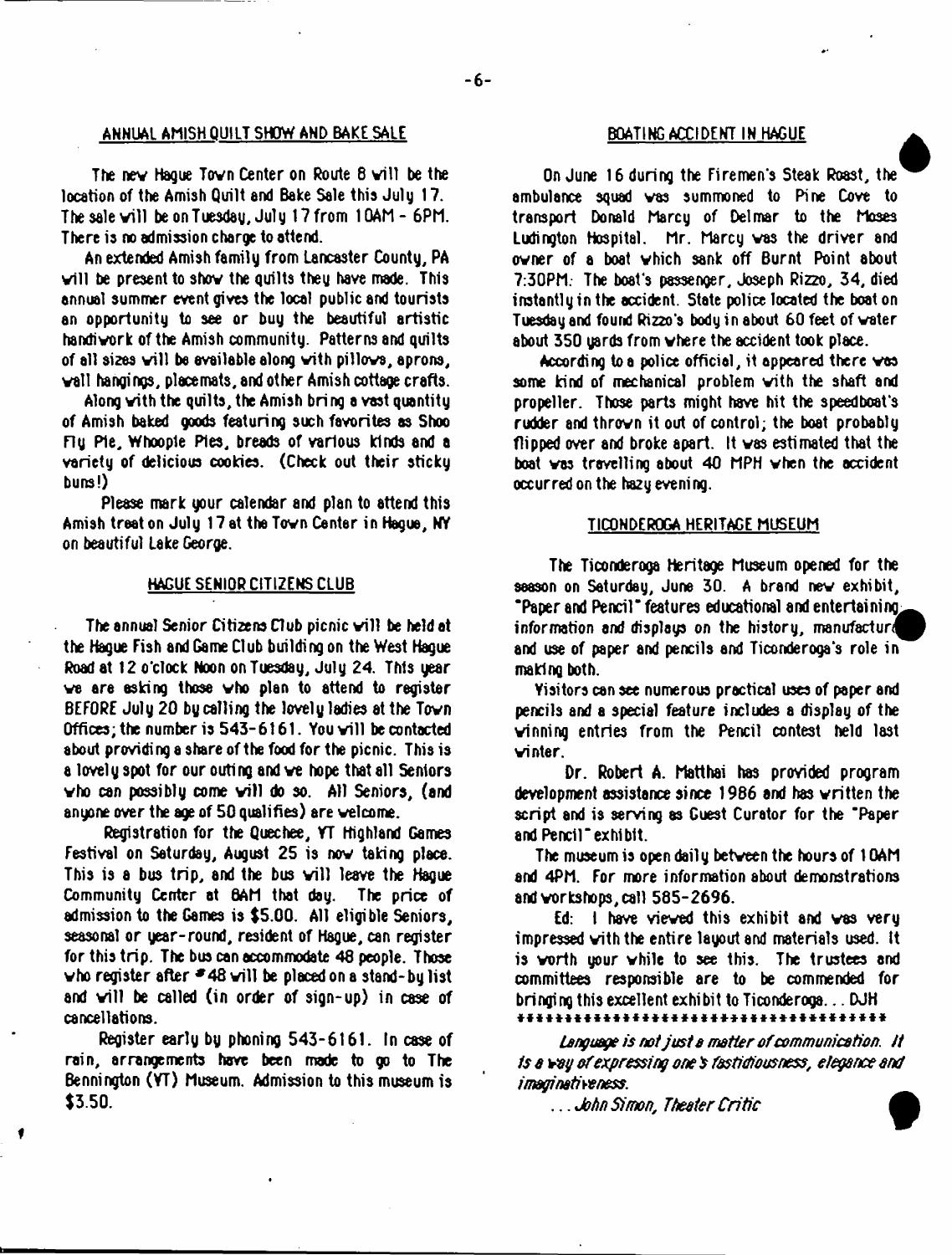#### ANNUAL AMISH QUILT SHOW AND BAKE SALE

The new Hague Town Center on Route 8 will be the location of the Amish Quilt and Bake Sale this July 17. The sale will be on Tuesday, July 17 from  $10AM - 6PM$ . There is no admission charge to attend.

An extended Amish family from Lancaster County, PA will be present to show the quilts they have made. This annual summer event gives the local public and tourists an opportunity to see or buy the beautiful artistic handivork of the Amish community. Patterns and quilts of all sizes will be available along with pillows, aprons, vail hangings, pi ace mats, and other Amish cottage crafts.

Along vith the quilts, the Amish bring avast quantity of Amish baked goods featuring such favorites as Shoo ny Pie, Whoople Pies, breads of various kinds and a variety of delicious cookies. (Check out their sticky buns!)

Please mark your calendar and plan to attend this Amish treat on July 17 at the Town Center in Hague, NY on beautiful Lake George.

#### HAGUE SENIOR CITIZENS CLUB

The annual Senior Citizens Club picnic will be held at the Hague Fish and Game Club building on the West Hague Road at 12o\*clock Noon on Tuesday, July 24. This year ve ere asking those vho plen to attend to register BEFORE July 20 by calling the lovely ladies at the Tovn Offices; the number is  $543 - 6161$ . You will be contacted sbout providing a share of the food for the picnic. This is a lovel y spot for our outi ng and ve hope that all Seniors who can possibly come will do so. All Seniors, (and anyone over the age of 50 qualifies) are welcome.

Registration for the Quechee, VT Highland Games Festival on Saturday, August 25 is nov taking place. This is a bus trip, and the bus will leave the Hague Community Center at BAM that day. The price of admission to the Games is \$5.00. All eligible Seniors, seasonal or year-round, resident of Hague, can register for this trip. The bus can accommodate 46 people. Those who register after  $*48$  will be placed on a stand-by list and will be called (in order of sign-up) in case of cancellations.

Register early by phoning 543-6161. In case of rain, arrangements have been made to go to The Bennington (YT) Museum. Admission to this museum is \$3.50.

#### BOATING ACCIDENT IN HAGUE

**a** On June 16 during the Firemen's Steak Roast, the ambulance squad vas summoned to Pine Cove to transport Donald Marcy of Delmar to the Moses Ludington Hospital. Mr. Marcy vas the driver and ovner of a boat vhich sank off Burnt Point about 7:30PM. The boat's passenger, Joseph Rizzo, 34, died instantly in the accident. State police located the boat on Tuesday and found Rizzo's body in about 60 feet of water about 350 yards from where the accident took place.

According to a police official, it appeared there vas some kind of mechanical problem vith the shaft and propeller. Those parts might have hit the speedboat's rudder and thrown it out of control; the boat probably flipped over and broke apart. It vas estimated that the boat vas travelling about 40 MPH when the accident occurred on the hazy evening.

#### TICONDEROGA HERITAGE MUSEUM

The Ticonderoga Heritage Museum opened for the season on Saturday, June 30. A brand nev exhibit, ' Paper and Pencil\* features educational and entertaining^ information and displays on the history, manufacture and use of paper and pencils and Ticonderoga's role in making both.

Visitors can see numerous practical uses of paper and pencils and a special feature includes a display of the winning entries from the Pencil contest held last vinter.

Dr. Robert A. Matthai has provided program development assistance since 1986 and has written the script and is serving 8s Guest Curator for the 'Paper and Pencil"exhibit.

The museum is open daily between the hours of 10AM and 4PM. For more information about demonstrations and workshops, call 585-2696.

Ed: 1 have viewed this exhibit and vas very impressed with the entire layout and materials used, it is vorth your while to see this. The trustees and committees responsible are to be commended for bringing this excellent exhibit to Ticonderoga... DJH \* \* \* \* \* \* \* \* \* \* \* \* \* \* \* \* \* \* \* \* \* \* \* \* \* \* \* \* \* \* \* \* \* \* \* \* \* \*

*Language is not Just a matter o f communication it ts a vag o f expressing one \$ fastidiousness, elegance and imaginativeness.*

... *John Simon*, *Theater C ritic*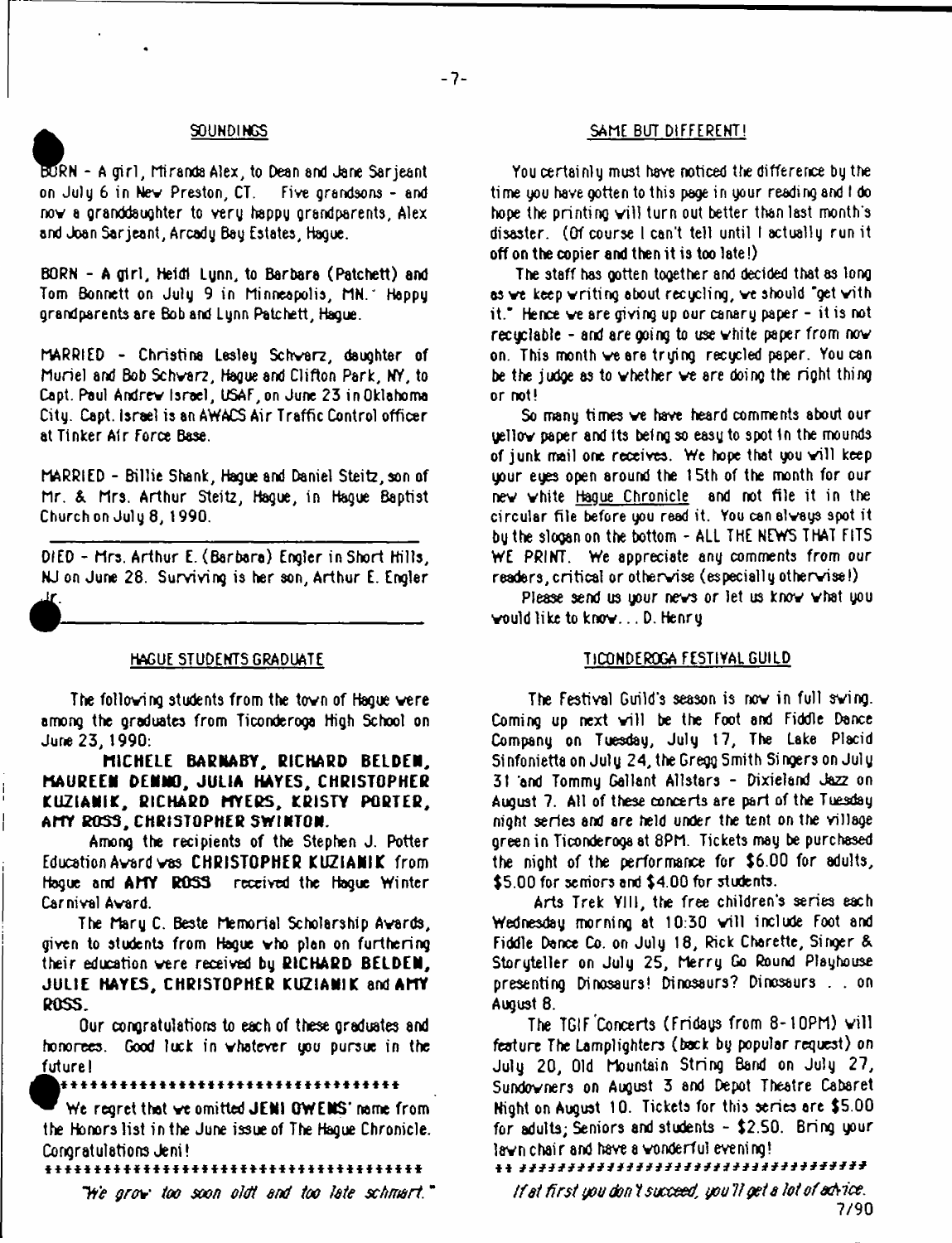# SOUNDINGS

**t**<br>**bull**<br>**on** RN - A girl, Miranda Alex, to Dean and Jane Sarjeant on July 6 in Nev Preston, CT. Five grandsons - and nov a granddaughter to very happy grandparents, Alex and Joan Sarjeant, Arcady Bey Estates, Hague.

BORN - A girl, Heidi Lynn, to Barbara (Patchett) and Tom Bonnett on July 9 in Minneapolis, MN." Happy grandparents are Bob and Lynn Patchett, Hague.

MARRIED - Christine Lesley Schvarz, daughter of Muriel and Bob Schvarz, Hague and Clifton Park, NY, to Capt. Paul Andrev Israel, USAF,on June 23 in Oklahoma City. Capt. Israel is an AWACS Air Traffic Control officer at Tinker Air Force Base.

MARRIED - Billie Shank, Hague and Daniel Steitz,son of Mr. & Mrs. Arthur Steitz, Hague, in Hague Baptist Church on July 8, 1990.

DIED - Mrs. Arthur E. (Barbara) Engler in Short Hills, NJ on June 28. Surviving is her son, Arthur E. Engler

# HAGUE STUDENTS GRADUATE

• ---------------------------------------

The folloving students from the tovn of Hague vere among the graduates from Ticonderoga High School on June 23, 1990:

**niCHELE BA ENA BY, RICHARD BELDEN, MAUREEN DENNO, JULIA HAYES, CHRISTOPHER KUZIANIK, RICHARD MYERS, KRISTY PORTER, AMY ROSS, CHRISTOPHER SWINTON.**

Among the recipients of the Stephen J. Potter Education Avard vas **CHRISTOPHER KUZIANIK** from Hogue and **AMY ROSS** received the Hogue Winter Carnival Avard.

The Mary C. Beste Memorial Scholarship Avards, given to students from Hague vho plan on furthering their education vere received by **RICHARD BELDEN, JULIE HAYES, CHRISTOPHER KUZ1ANIK** and **AMY ROSS.**

Our congratulations to each of these graduates and honorees. Good luck in vhatever you pursue in the future!

### \* \* \* \* \* \* \* \* \* \* \* \* \* \* \* \* \* \* \* \* \* \* \* \* \* \* \* \* \* \* \* \* \* \* \*

We regret that ve omitted JENI OWENS' name from the Honors list in the June issue of The Hague Chronicle. Congratulations Jeni!

\* \* \* \* \* \* \* \* \* \* \* \* \* \* \* \* \* \* \* \* \* \* \* \* \* \* \* \* \* \* \* \* \* \* \* \* \* \* \*

*H e grcpw' too soon otdt end too tote schm rt.*\*

# SAME BUT DIFFERENT!

You certainly must have noticed the difference by the time you have gotten to this page in your reading and I do hope the printing will turn out better than last month's disaster. (Of course I can't tell until I actually run it off on the copier and then it is too late!)

The staff has gotten together and decided that as long as ve keep vriting about recycling, ve should "get vith it." Hence ve are giving up our canary paper - it is not recuclable - and are going to use white paper from now on. This month ve are trying recycled paper. You can be the judge as to vhether ve are doing the right thing or not!

So many times ve have heard comments about our yellov paper and its being so easy to spot in the mounds of junk mail one receives. We hope that you will keep your eyes open around the 15th of the month for our nev vhite Hague Chronicle and not file it in the circular file before you read it. You can alvays spot it by the slogan on the bottom - ALL THE NEWS THAT FITS WE PRINT. We appreciate any comments from our readers,critical or othervise (especially othervise!)

Please send us your nevs or let us knov vhat you vould like to knov... D. Henry

#### TICONDEROGA FESTIVAL GUILD

The Festival Guild's season is nov in full sving. Coming up next will be the Foot and Fiddle Dance Company on Tuesday, July 17, The Lake Placid 51 nfonietta on July 24, the Gregg Smith Singers on July 31 and Tommy Gallant Allstars - Dixieland Jazz on August 7. All of these concerts are part of the Tuesday night series and are held under the tent on the village green in Ticonderoga at 8PM. Tickets may be purchased the night of the performance for \$6.00 for adults, \$5.00 for semiors and \$4.00 for students.

Arts Trek VIII, the free children's series each Wednesday morning at 10:30 will include Foot and Fiddle Dance Co. on July 18, Rick Charette, Singer & Storyteller on July 25, Merry Go Round Playhouse presenting Dinosaurs! Dinosaurs? Dinosaurs . . on August 8.

The TGIF Concerts (Fridays from 8-10PM) will feature The Lamplighters (back by popular request) on July 20, Old Mountain String Band on July 27, Sundovners on August 3 and Depot Theatre Cabaret Night on August 10. Tickets for this series ere \$5.00 for adults; Seniors and students - \$2.50. Bring your lavn chair and have a vonderful evening!

*Ifst first you don t succeed, you V yet s tot ofachice.* 7/90